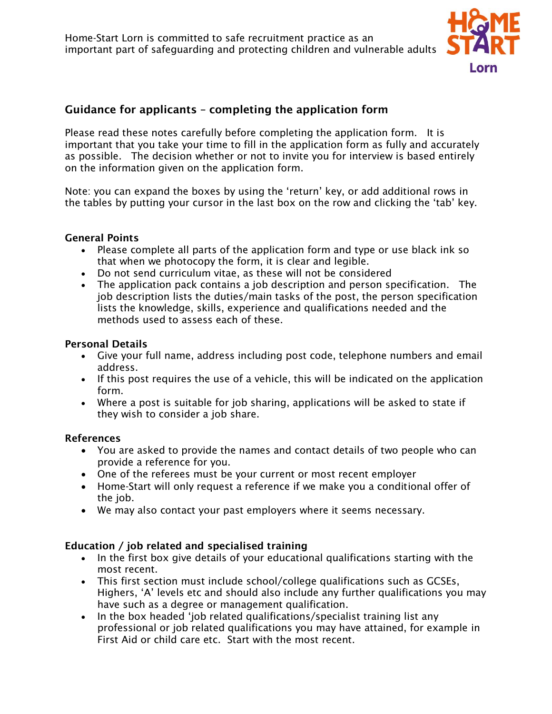

# Guidance for applicants – completing the application form

Please read these notes carefully before completing the application form. It is important that you take your time to fill in the application form as fully and accurately as possible. The decision whether or not to invite you for interview is based entirely on the information given on the application form.

Note: you can expand the boxes by using the 'return' key, or add additional rows in the tables by putting your cursor in the last box on the row and clicking the 'tab' key.

#### General Points

- Please complete all parts of the application form and type or use black ink so that when we photocopy the form, it is clear and legible.
- Do not send curriculum vitae, as these will not be considered
- The application pack contains a job description and person specification. The job description lists the duties/main tasks of the post, the person specification lists the knowledge, skills, experience and qualifications needed and the methods used to assess each of these.

#### Personal Details

- Give your full name, address including post code, telephone numbers and email address.
- If this post requires the use of a vehicle, this will be indicated on the application form.
- Where a post is suitable for job sharing, applications will be asked to state if they wish to consider a job share.

#### References

- You are asked to provide the names and contact details of two people who can provide a reference for you.
- One of the referees must be your current or most recent employer
- Home-Start will only request a reference if we make you a conditional offer of the job.
- We may also contact your past employers where it seems necessary.

#### Education / job related and specialised training

- In the first box give details of your educational qualifications starting with the most recent.
- This first section must include school/college qualifications such as GCSEs, Highers, 'A' levels etc and should also include any further qualifications you may have such as a degree or management qualification.
- In the box headed 'job related qualifications/specialist training list any professional or job related qualifications you may have attained, for example in First Aid or child care etc. Start with the most recent.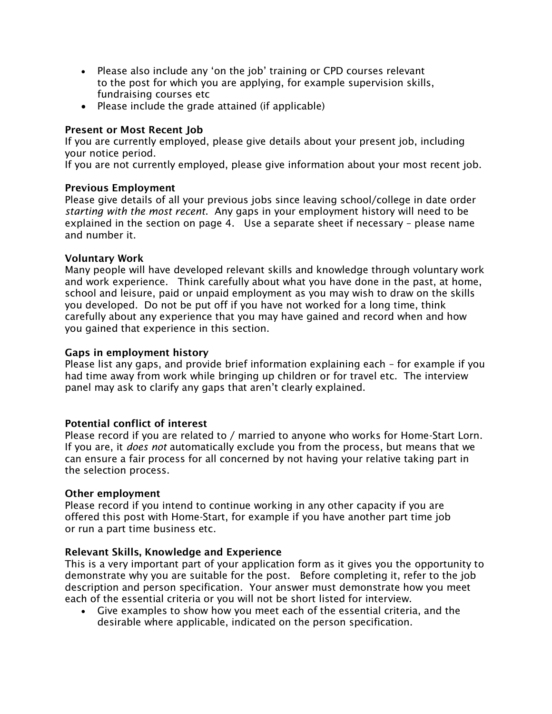- Please also include any 'on the job' training or CPD courses relevant to the post for which you are applying, for example supervision skills, fundraising courses etc
- Please include the grade attained (if applicable)

### Present or Most Recent Job

If you are currently employed, please give details about your present job, including your notice period.

If you are not currently employed, please give information about your most recent job.

### Previous Employment

Please give details of all your previous jobs since leaving school/college in date order *starting with the most recent*. Any gaps in your employment history will need to be explained in the section on page 4. Use a separate sheet if necessary – please name and number it.

### Voluntary Work

Many people will have developed relevant skills and knowledge through voluntary work and work experience. Think carefully about what you have done in the past, at home, school and leisure, paid or unpaid employment as you may wish to draw on the skills you developed. Do not be put off if you have not worked for a long time, think carefully about any experience that you may have gained and record when and how you gained that experience in this section.

### Gaps in employment history

Please list any gaps, and provide brief information explaining each – for example if you had time away from work while bringing up children or for travel etc. The interview panel may ask to clarify any gaps that aren't clearly explained.

## Potential conflict of interest

Please record if you are related to / married to anyone who works for Home-Start Lorn. If you are, it *does not* automatically exclude you from the process, but means that we can ensure a fair process for all concerned by not having your relative taking part in the selection process.

### Other employment

Please record if you intend to continue working in any other capacity if you are offered this post with Home-Start, for example if you have another part time job or run a part time business etc.

### Relevant Skills, Knowledge and Experience

This is a very important part of your application form as it gives you the opportunity to demonstrate why you are suitable for the post. Before completing it, refer to the job description and person specification. Your answer must demonstrate how you meet each of the essential criteria or you will not be short listed for interview.

• Give examples to show how you meet each of the essential criteria, and the desirable where applicable, indicated on the person specification.